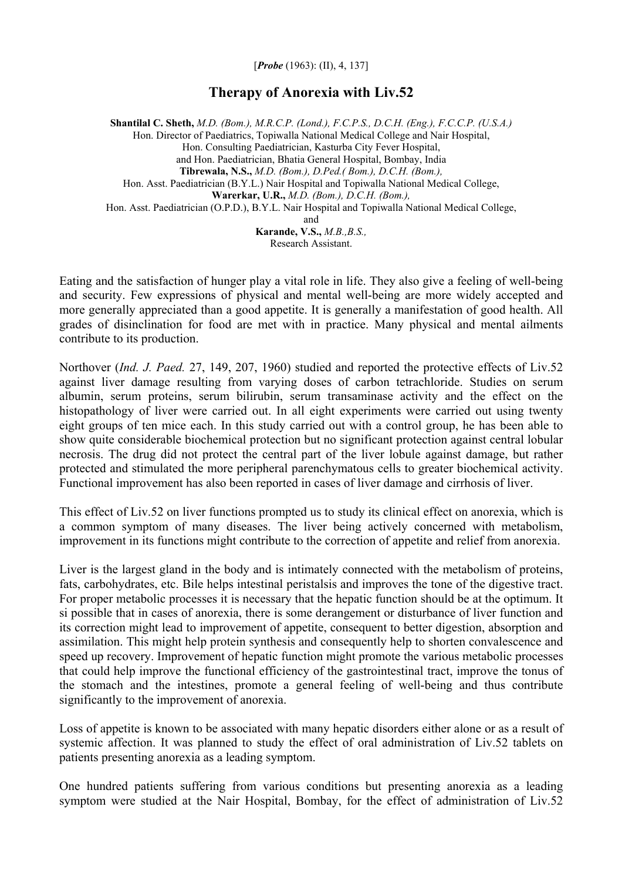[*Probe* (1963): (II), 4, 137]

## **Therapy of Anorexia with Liv.52**

**Shantilal C. Sheth,** *M.D. (Bom.), M.R.C.P. (Lond.), F.C.P.S., D.C.H. (Eng.), F.C.C.P. (U.S.A.)* Hon. Director of Paediatrics, Topiwalla National Medical College and Nair Hospital, Hon. Consulting Paediatrician, Kasturba City Fever Hospital, and Hon. Paediatrician, Bhatia General Hospital, Bombay, India **Tibrewala, N.S.,** *M.D. (Bom.), D.Ped.( Bom.), D.C.H. (Bom.),*  Hon. Asst. Paediatrician (B.Y.L.) Nair Hospital and Topiwalla National Medical College, **Warerkar, U.R.,** *M.D. (Bom.), D.C.H. (Bom.),*  Hon. Asst. Paediatrician (O.P.D.), B.Y.L. Nair Hospital and Topiwalla National Medical College, and **Karande, V.S.,** *M.B.,B.S.,*

Research Assistant.

Eating and the satisfaction of hunger play a vital role in life. They also give a feeling of well-being and security. Few expressions of physical and mental well-being are more widely accepted and more generally appreciated than a good appetite. It is generally a manifestation of good health. All grades of disinclination for food are met with in practice. Many physical and mental ailments contribute to its production.

Northover (*Ind. J. Paed.* 27, 149, 207, 1960) studied and reported the protective effects of Liv.52 against liver damage resulting from varying doses of carbon tetrachloride. Studies on serum albumin, serum proteins, serum bilirubin, serum transaminase activity and the effect on the histopathology of liver were carried out. In all eight experiments were carried out using twenty eight groups of ten mice each. In this study carried out with a control group, he has been able to show quite considerable biochemical protection but no significant protection against central lobular necrosis. The drug did not protect the central part of the liver lobule against damage, but rather protected and stimulated the more peripheral parenchymatous cells to greater biochemical activity. Functional improvement has also been reported in cases of liver damage and cirrhosis of liver.

This effect of Liv.52 on liver functions prompted us to study its clinical effect on anorexia, which is a common symptom of many diseases. The liver being actively concerned with metabolism, improvement in its functions might contribute to the correction of appetite and relief from anorexia.

Liver is the largest gland in the body and is intimately connected with the metabolism of proteins, fats, carbohydrates, etc. Bile helps intestinal peristalsis and improves the tone of the digestive tract. For proper metabolic processes it is necessary that the hepatic function should be at the optimum. It si possible that in cases of anorexia, there is some derangement or disturbance of liver function and its correction might lead to improvement of appetite, consequent to better digestion, absorption and assimilation. This might help protein synthesis and consequently help to shorten convalescence and speed up recovery. Improvement of hepatic function might promote the various metabolic processes that could help improve the functional efficiency of the gastrointestinal tract, improve the tonus of the stomach and the intestines, promote a general feeling of well-being and thus contribute significantly to the improvement of anorexia.

Loss of appetite is known to be associated with many hepatic disorders either alone or as a result of systemic affection. It was planned to study the effect of oral administration of Liv.52 tablets on patients presenting anorexia as a leading symptom.

One hundred patients suffering from various conditions but presenting anorexia as a leading symptom were studied at the Nair Hospital, Bombay, for the effect of administration of Liv.52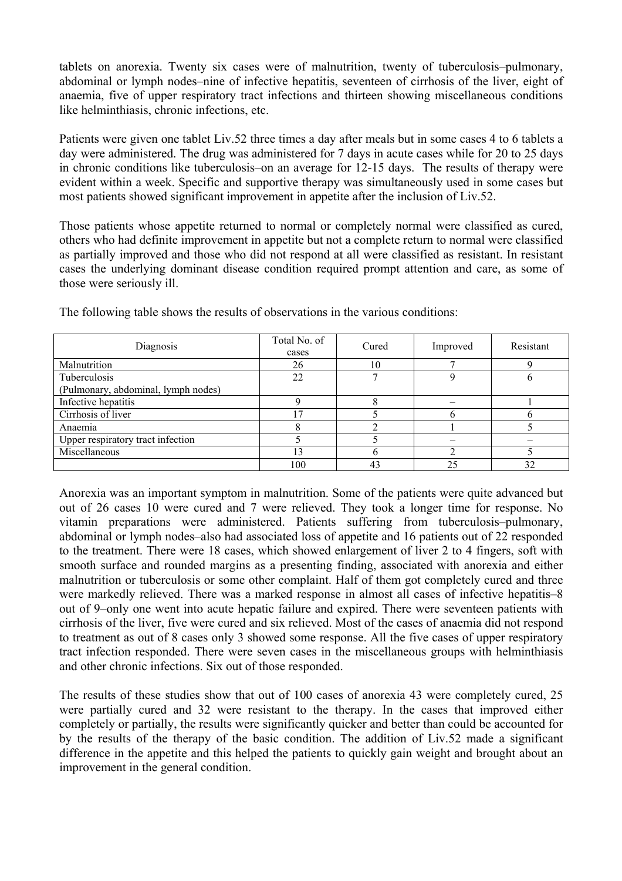tablets on anorexia. Twenty six cases were of malnutrition, twenty of tuberculosis–pulmonary, abdominal or lymph nodes–nine of infective hepatitis, seventeen of cirrhosis of the liver, eight of anaemia, five of upper respiratory tract infections and thirteen showing miscellaneous conditions like helminthiasis, chronic infections, etc.

Patients were given one tablet Liv.52 three times a day after meals but in some cases 4 to 6 tablets a day were administered. The drug was administered for 7 days in acute cases while for 20 to 25 days in chronic conditions like tuberculosis–on an average for 12-15 days. The results of therapy were evident within a week. Specific and supportive therapy was simultaneously used in some cases but most patients showed significant improvement in appetite after the inclusion of Liv.52.

Those patients whose appetite returned to normal or completely normal were classified as cured, others who had definite improvement in appetite but not a complete return to normal were classified as partially improved and those who did not respond at all were classified as resistant. In resistant cases the underlying dominant disease condition required prompt attention and care, as some of those were seriously ill.

| Diagnosis                           | Total No. of<br>cases | Cured          | Improved | Resistant |
|-------------------------------------|-----------------------|----------------|----------|-----------|
| Malnutrition                        | 26                    | 10             |          |           |
| Tuberculosis                        | 22                    | −              |          |           |
| (Pulmonary, abdominal, lymph nodes) |                       |                |          |           |
| Infective hepatitis                 |                       |                |          |           |
| Cirrhosis of liver                  | $\mathcal{L}$         |                |          |           |
| Anaemia                             |                       |                |          |           |
| Upper respiratory tract infection   |                       |                |          |           |
| Miscellaneous                       | 13                    |                |          |           |
|                                     | 100                   | 4 <sup>2</sup> | 25       | 32        |

The following table shows the results of observations in the various conditions:

Anorexia was an important symptom in malnutrition. Some of the patients were quite advanced but out of 26 cases 10 were cured and 7 were relieved. They took a longer time for response. No vitamin preparations were administered. Patients suffering from tuberculosis–pulmonary, abdominal or lymph nodes–also had associated loss of appetite and 16 patients out of 22 responded to the treatment. There were 18 cases, which showed enlargement of liver 2 to 4 fingers, soft with smooth surface and rounded margins as a presenting finding, associated with anorexia and either malnutrition or tuberculosis or some other complaint. Half of them got completely cured and three were markedly relieved. There was a marked response in almost all cases of infective hepatitis–8 out of 9–only one went into acute hepatic failure and expired. There were seventeen patients with cirrhosis of the liver, five were cured and six relieved. Most of the cases of anaemia did not respond to treatment as out of 8 cases only 3 showed some response. All the five cases of upper respiratory tract infection responded. There were seven cases in the miscellaneous groups with helminthiasis and other chronic infections. Six out of those responded.

The results of these studies show that out of 100 cases of anorexia 43 were completely cured, 25 were partially cured and 32 were resistant to the therapy. In the cases that improved either completely or partially, the results were significantly quicker and better than could be accounted for by the results of the therapy of the basic condition. The addition of Liv.52 made a significant difference in the appetite and this helped the patients to quickly gain weight and brought about an improvement in the general condition.